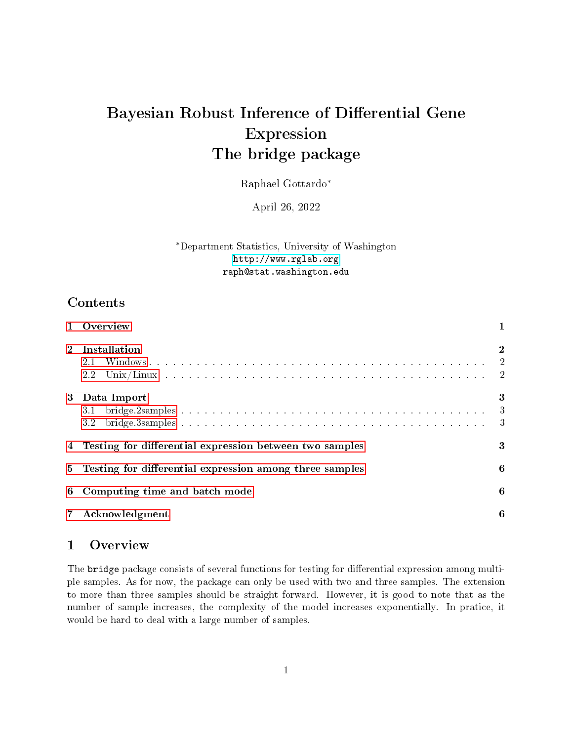# Bayesian Robust Inference of Differential Gene Expression The bridge package

Raphael Gottardo<sup>∗</sup>

April 26, 2022

<sup>∗</sup>Department Statistics, University of Washington <http://www.rglab.org> raph@stat.washington.edu

# Contents

|              | Overview                                                  |                                                           |  |  |  |  |  |  |
|--------------|-----------------------------------------------------------|-----------------------------------------------------------|--|--|--|--|--|--|
| $\mathbf{2}$ | Installation<br>2.1<br>$2.2\,$                            | $\mathbf 2$                                               |  |  |  |  |  |  |
| 3            | Data Import<br>3.1<br>3.2                                 | 3<br>$\overline{\phantom{a}}$<br>$\overline{\phantom{a}}$ |  |  |  |  |  |  |
|              | 4 Testing for differential expression between two samples | 3                                                         |  |  |  |  |  |  |
| 5            | Testing for differential expression among three samples   | 6                                                         |  |  |  |  |  |  |
| 6            | Computing time and batch mode                             |                                                           |  |  |  |  |  |  |
|              | Acknowledgment                                            | 6                                                         |  |  |  |  |  |  |

## <span id="page-0-0"></span>1 Overview

The bridge package consists of several functions for testing for differential expression among multiple samples. As for now, the package can only be used with two and three samples. The extension to more than three samples should be straight forward. However, it is good to note that as the number of sample increases, the complexity of the model increases exponentially. In pratice, it would be hard to deal with a large number of samples.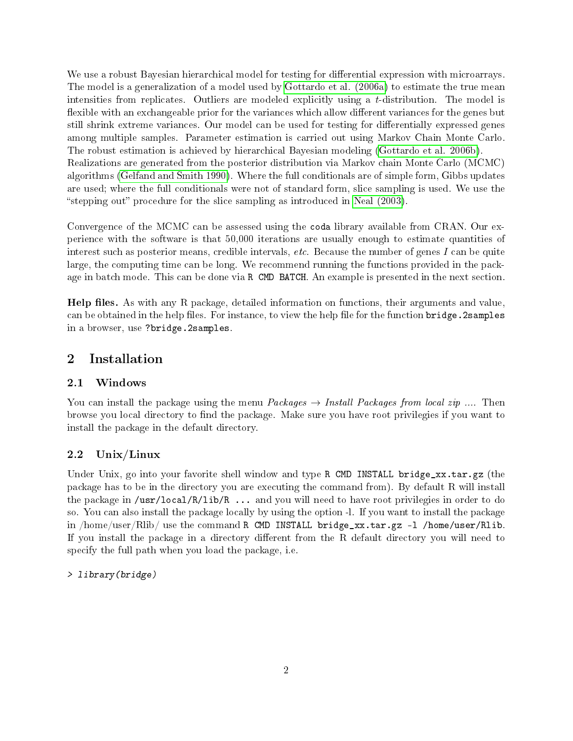We use a robust Bayesian hierarchical model for testing for differential expression with microarrays. The model is a generalization of a model used by [Gottardo et al. \(2006a\)](#page-5-3) to estimate the true mean intensities from replicates. Outliers are modeled explicitly using a t-distribution. The model is flexible with an exchangeable prior for the variances which allow different variances for the genes but still shrink extreme variances. Our model can be used for testing for differentially expressed genes among multiple samples. Parameter estimation is carried out using Markov Chain Monte Carlo. The robust estimation is achieved by hierarchical Bayesian modeling [\(Gottardo et al. 2006b\)](#page-5-4). Realizations are generated from the posterior distribution via Markov chain Monte Carlo (MCMC) algorithms [\(Gelfand and Smith 1990\)](#page-5-5). Where the full conditionals are of simple form, Gibbs updates are used; where the full conditionals were not of standard form, slice sampling is used. We use the "stepping out" procedure for the slice sampling as introduced in Neal  $(2003)$ .

Convergence of the MCMC can be assessed using the coda library available from CRAN. Our experience with the software is that 50,000 iterations are usually enough to estimate quantities of interest such as posterior means, credible intervals, etc. Because the number of genes I can be quite large, the computing time can be long. We recommend running the functions provided in the package in batch mode. This can be done via R CMD BATCH. An example is presented in the next section.

Help files. As with any R package, detailed information on functions, their arguments and value, can be obtained in the help files. For instance, to view the help file for the function bridge. 2samples in a browser, use ?bridge.2samples.

# <span id="page-1-0"></span>2 Installation

#### <span id="page-1-1"></span>2.1 Windows

You can install the package using the menu  $Packs \rightarrow$  Install Packages from local zip .... Then browse you local directory to find the package. Make sure you have root privilegies if you want to install the package in the default directory.

## <span id="page-1-2"></span>2.2 Unix/Linux

Under Unix, go into your favorite shell window and type R CMD INSTALL bridge\_xx.tar.gz (the package has to be in the directory you are executing the command from). By default R will install the package in /usr/local/R/lib/R ... and you will need to have root privilegies in order to do so. You can also install the package locally by using the option -l. If you want to install the package in  $/$ home $/$ user $/$ Rlib $/$  use the command R CMD INSTALL bridge\_xx.tar.gz -1  $/$ home $/$ user $/$ Rlib. If you install the package in a directory different from the R default directory you will need to specify the full path when you load the package, i.e.

#### > library(bridge)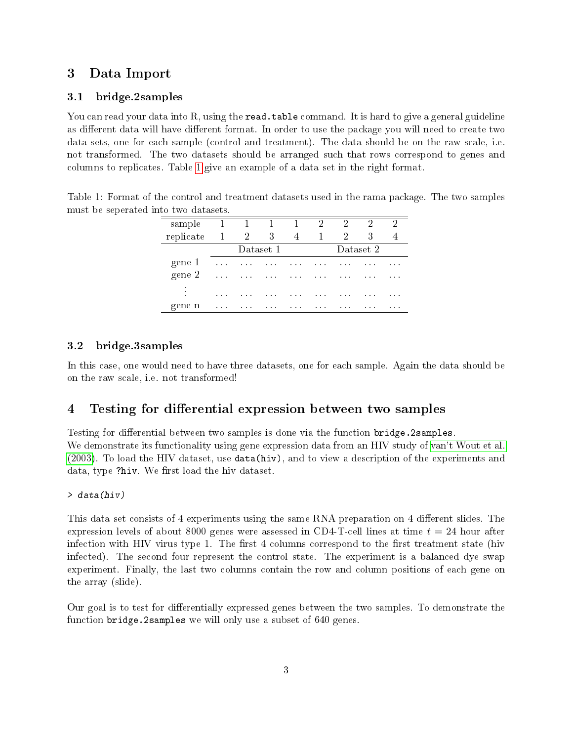# <span id="page-2-0"></span>3 Data Import

## <span id="page-2-1"></span>3.1 bridge.2samples

You can read your data into R, using the **read.table** command. It is hard to give a general guideline as different data will have different format. In order to use the package you will need to create two data sets, one for each sample (control and treatment). The data should be on the raw scale, i.e. not transformed. The two datasets should be arranged such that rows correspond to genes and columns to replicates. Table [1](#page-2-4) give an example of a data set in the right format.

<span id="page-2-4"></span>Table 1: Format of the control and treatment datasets used in the rama package. The two samples must be seperated into two datasets.

| sample    | $\overline{1}$                         | $\blacksquare$                               | $1 \quad 1$                                    |                                      | $\overline{2}$                         | 2                                      | 2        | $\overline{2}$ |
|-----------|----------------------------------------|----------------------------------------------|------------------------------------------------|--------------------------------------|----------------------------------------|----------------------------------------|----------|----------------|
| replicate | -1                                     | $\overline{2}$                               | 3                                              | 4                                    | 1                                      | $^{2}$                                 | 3        |                |
|           | Dataset 1                              |                                              |                                                |                                      | Dataset 2                              |                                        |          |                |
| gene 1    | $\alpha$ , $\alpha$ , $\alpha$         | $\sim$ $\sim$                                | $\mathbf{a}$ , $\mathbf{a}$ , $\mathbf{a}$ ,   | $\mathbf{r}=\mathbf{r}+\mathbf{r}$   | $\mathbf{a} = \mathbf{a} + \mathbf{a}$ | $\cdots$                               | $\cdots$ | $\cdots$       |
| gene 2    | $\mathbf{a}=\mathbf{a}+\mathbf{a}$     | $\mathbf{a}$ , $\mathbf{a}$ , $\mathbf{a}$ , | $\mathbf{a} \cdot \mathbf{a} \cdot \mathbf{a}$ | $\mathbf{a}=\mathbf{a}+\mathbf{a}$ . | <b>Contractor</b>                      | $\mathbf{r} = \mathbf{r} + \mathbf{r}$ | $\cdots$ | $\cdots$       |
| ٠<br>٠    | $\mathbf{r} = \mathbf{r} + \mathbf{r}$ | $\cdots$                                     | $\cdots$                                       | $\cdots$                             | $\cdots$                               | $\cdots$                               | $\cdots$ | $\cdots$       |
| gene n    | $\mathbf{a}=\mathbf{a}+\mathbf{a}$     | $\mathbf{r} = \mathbf{r} + \mathbf{r}$       | $\mathbf{r} = \mathbf{r} + \mathbf{r}$         | $\cdots$                             | $\cdots$                               | $\cdots$                               | $\cdots$ | $\cdots$       |

#### <span id="page-2-2"></span>3.2 bridge.3samples

In this case, one would need to have three datasets, one for each sample. Again the data should be on the raw scale, i.e. not transformed!

## <span id="page-2-3"></span>4 Testing for differential expression between two samples

Testing for differential between two samples is done via the function bridge.2samples. We demonstrate its functionality using gene expression data from an HIV study of [van't Wout et al.](#page-6-0) [\(2003\)](#page-6-0). To load the HIV dataset, use data(hiv), and to view a description of the experiments and data, type ?hiv. We first load the hiv dataset.

#### > data(hiv)

This data set consists of 4 experiments using the same RNA preparation on 4 different slides. The expression levels of about 8000 genes were assessed in CD4-T-cell lines at time  $t = 24$  hour after infection with HIV virus type 1. The first 4 columns correspond to the first treatment state (hiv infected). The second four represent the control state. The experiment is a balanced dye swap experiment. Finally, the last two columns contain the row and column positions of each gene on the array (slide).

Our goal is to test for differentially expressed genes between the two samples. To demonstrate the function bridge. 2samples we will only use a subset of 640 genes.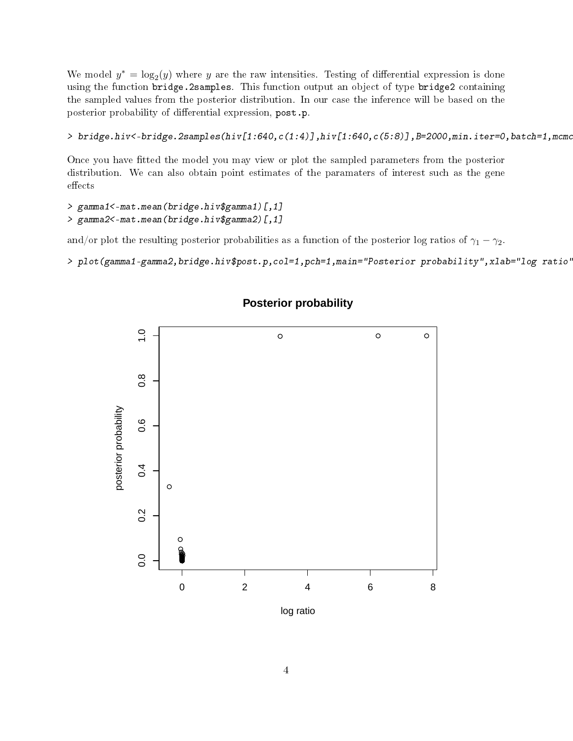We model  $y^* = \log_2(y)$  where y are the raw intensities. Testing of differential expression is done using the function bridge.2samples. This function output an object of type bridge2 containing the sampled values from the posterior distribution. In our case the inference will be based on the posterior probability of differential expression, post.p.

> bridge.hiv<-bridge.2samples(hiv[1:640,c(1:4)],hiv[1:640,c(5:8)],B=2000,min.iter=0,batch=1,mcmc

Once you have tted the model you may view or plot the sampled parameters from the posterior distribution. We can also obtain point estimates of the paramaters of interest such as the gene effects

```
> gamma1<-mat.mean(bridge.hiv$gamma1)[,1]
> gamma2<-mat.mean(bridge.hiv$gamma2)[,1]
```
and/or plot the resulting posterior probabilities as a function of the posterior log ratios of  $\gamma_1 - \gamma_2$ .

```
> plot(gamma1-gamma2,bridge.hiv$post.p,col=1,pch=1,main="Posterior probability",xlab="log ratio'
```


## **Posterior probability**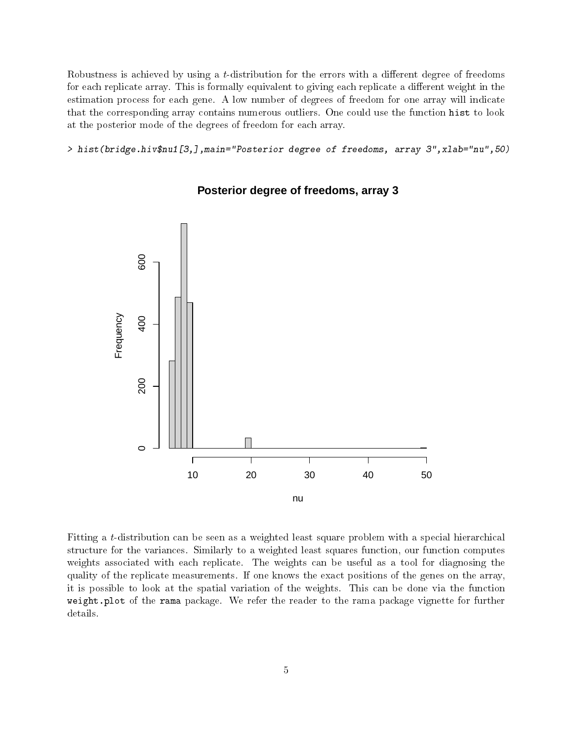Robustness is achieved by using a *t*-distribution for the errors with a different degree of freedoms for each replicate array. This is formally equivalent to giving each replicate a different weight in the estimation process for each gene. A low number of degrees of freedom for one array will indicate that the corresponding array contains numerous outliers. One could use the function hist to look at the posterior mode of the degrees of freedom for each array.

> hist(bridge.hiv\$nu1[3,],main="Posterior degree of freedoms, array 3",xlab="nu",50)



#### **Posterior degree of freedoms, array 3**

Fitting a t-distribution can be seen as a weighted least square problem with a special hierarchical structure for the variances. Similarly to a weighted least squares function, our function computes weights associated with each replicate. The weights can be useful as a tool for diagnosing the quality of the replicate measurements. If one knows the exact positions of the genes on the array, it is possible to look at the spatial variation of the weights. This can be done via the function weight.plot of the rama package. We refer the reader to the rama package vignette for further details.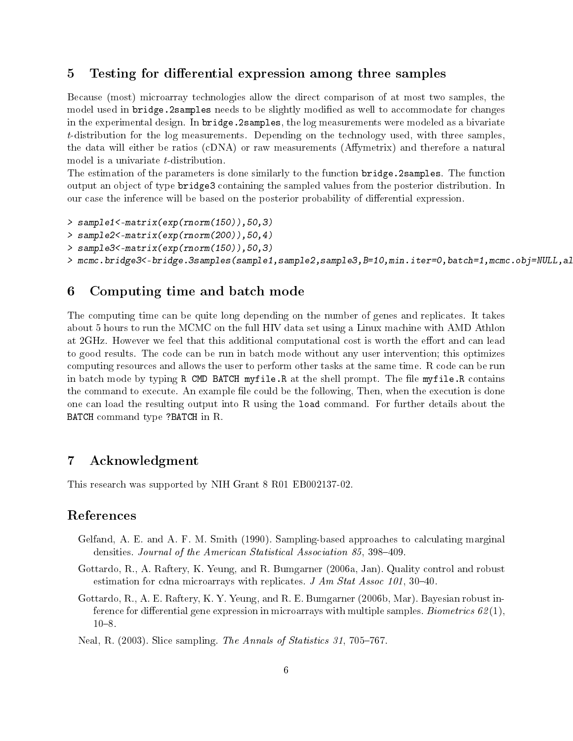## <span id="page-5-0"></span>5 Testing for differential expression among three samples

Because (most) microarray technologies allow the direct comparison of at most two samples, the model used in bridge. 2samples needs to be slightly modified as well to accommodate for changes in the experimental design. In bridge.2samples, the log measurements were modeled as a bivariate t-distribution for the log measurements. Depending on the technology used, with three samples, the data will either be ratios (cDNA) or raw measurements (Affymetrix) and therefore a natural model is a univariate *t*-distribution.

The estimation of the parameters is done similarly to the function bridge.2samples. The function output an object of type bridge3 containing the sampled values from the posterior distribution. In our case the inference will be based on the posterior probability of differential expression.

```
> sample1<-matrix(exp(rnorm(150)),50,3)
```
- > sample2<-matrix(exp(rnorm(200)),50,4)
- > sample3<-matrix(exp(rnorm(150)),50,3)

```
> mcmc.bridge3<-bridge.3samples(sample1,sample2,sample3,B=10,min.iter=0,batch=1,mcmc.obj=NULL,al
```
## <span id="page-5-1"></span>6 Computing time and batch mode

The computing time can be quite long depending on the number of genes and replicates. It takes about 5 hours to run the MCMC on the full HIV data set using a Linux machine with AMD Athlon at 2GHz. However we feel that this additional computational cost is worth the effort and can lead to good results. The code can be run in batch mode without any user intervention; this optimizes computing resources and allows the user to perform other tasks at the same time. R code can be run in batch mode by typing R CMD BATCH myfile.R at the shell prompt. The file myfile.R contains the command to execute. An example file could be the following, Then, when the execution is done one can load the resulting output into R using the load command. For further details about the BATCH command type ?BATCH in R.

## <span id="page-5-2"></span>7 Acknowledgment

This research was supported by NIH Grant 8 R01 EB002137-02.

## References

- <span id="page-5-5"></span>Gelfand, A. E. and A. F. M. Smith (1990). Sampling-based approaches to calculating marginal densities. Journal of the American Statistical Association 85, 398-409.
- <span id="page-5-3"></span>Gottardo, R., A. Raftery, K. Yeung, and R. Bumgarner (2006a, Jan). Quality control and robust estimation for cdna microarrays with replicates.  $J Am Stat Assoc 101, 30-40$ .
- <span id="page-5-4"></span>Gottardo, R., A. E. Raftery, K. Y. Yeung, and R. E. Bumgarner (2006b, Mar). Bayesian robust inference for differential gene expression in microarrays with multiple samples. Biometrics  $62(1)$ ,  $10 - 8$ .
- <span id="page-5-6"></span>Neal, R.  $(2003)$ . Slice sampling. The Annals of Statistics 31, 705–767.